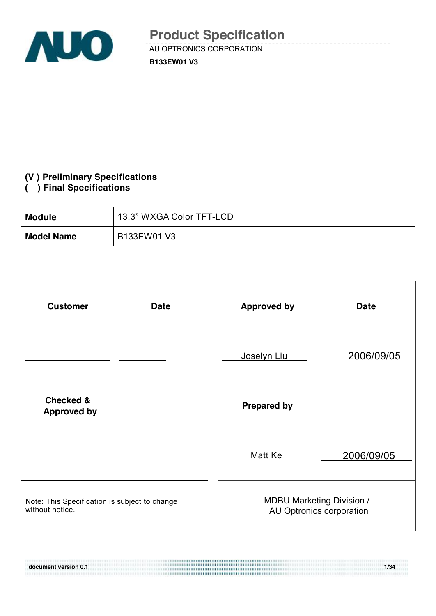

**B133EW01 V3**

#### **(V ) Preliminary Specifications**

#### **( ) Final Specifications**

111911101111111111111111

| <b>Module</b>     | 13.3" WXGA Color TFT-LCD |
|-------------------|--------------------------|
| <b>Model Name</b> | B133EW01 V3              |

| <b>Customer</b><br><b>Date</b>                                   | <b>Approved by</b>                                           | <b>Date</b> |
|------------------------------------------------------------------|--------------------------------------------------------------|-------------|
|                                                                  | Joselyn Liu                                                  | 2006/09/05  |
| <b>Checked &amp;</b><br><b>Approved by</b>                       | <b>Prepared by</b>                                           |             |
|                                                                  | Matt Ke                                                      | 2006/09/05  |
| Note: This Specification is subject to change<br>without notice. | <b>MDBU Marketing Division /</b><br>AU Optronics corporation |             |

**document version 0.1** 1/34 **1/34**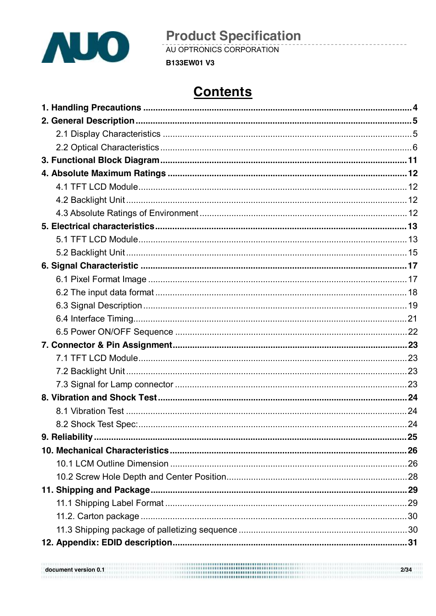

**Product Specification**<br>AU OPTRONICS CORPORATION

**B133EW01 V3** 

# **Contents**

| $\frac{2}{34}$<br>document version 0.1 |  |
|----------------------------------------|--|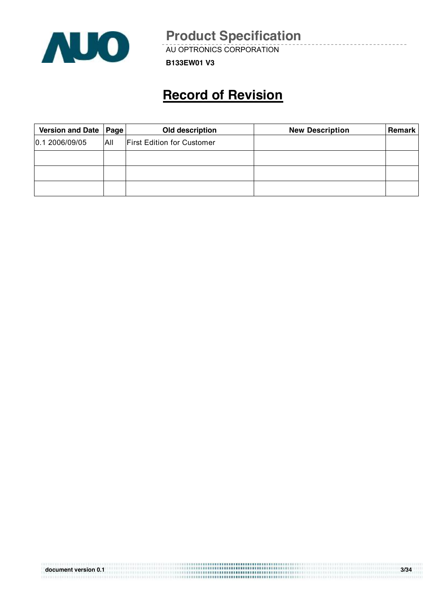

AU OPTRONICS CORPORATION

**B133EW01 V3**

# **Record of Revision**

| Version and Date   Page |     | Old description                   | <b>New Description</b> | <b>Remark</b> |
|-------------------------|-----|-----------------------------------|------------------------|---------------|
| 0.1 2006/09/05          | All | <b>First Edition for Customer</b> |                        |               |
|                         |     |                                   |                        |               |
|                         |     |                                   |                        |               |
|                         |     |                                   |                        |               |

| document version 0.1 | \\$\$\$\$\$\$\$\$\$\$\$\$\$\$\$\$\$\$\$\$\$\$\$\$\$\$\$\$\$\$\$\$\$\$. | 3/34 |
|----------------------|------------------------------------------------------------------------|------|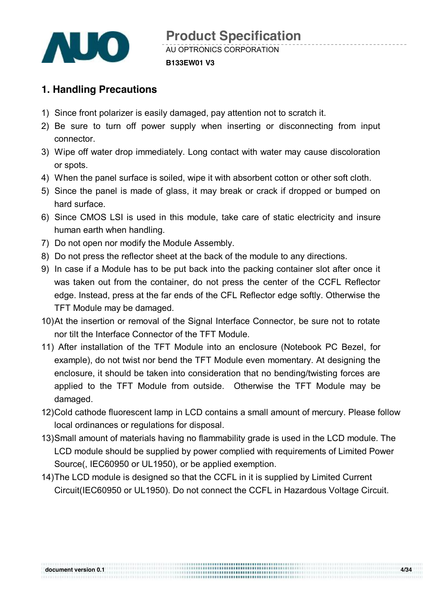

## **1. Handling Precautions**

- 1) Since front polarizer is easily damaged, pay attention not to scratch it.
- 2) Be sure to turn off power supply when inserting or disconnecting from input connector.
- 3) Wipe off water drop immediately. Long contact with water may cause discoloration or spots.
- 4) When the panel surface is soiled, wipe it with absorbent cotton or other soft cloth.
- 5) Since the panel is made of glass, it may break or crack if dropped or bumped on hard surface.
- 6) Since CMOS LSI is used in this module, take care of static electricity and insure human earth when handling.
- 7) Do not open nor modify the Module Assembly.
- 8) Do not press the reflector sheet at the back of the module to any directions.
- 9) In case if a Module has to be put back into the packing container slot after once it was taken out from the container, do not press the center of the CCFL Reflector edge. Instead, press at the far ends of the CFL Reflector edge softly. Otherwise the TFT Module may be damaged.
- 10)At the insertion or removal of the Signal Interface Connector, be sure not to rotate nor tilt the Interface Connector of the TFT Module.
- 11) After installation of the TFT Module into an enclosure (Notebook PC Bezel, for example), do not twist nor bend the TFT Module even momentary. At designing the enclosure, it should be taken into consideration that no bending/twisting forces are applied to the TFT Module from outside. Otherwise the TFT Module may be damaged.
- 12)Cold cathode fluorescent lamp in LCD contains a small amount of mercury. Please follow local ordinances or regulations for disposal.
- 13)Small amount of materials having no flammability grade is used in the LCD module. The LCD module should be supplied by power complied with requirements of Limited Power Source(, IEC60950 or UL1950), or be applied exemption.
- 14)The LCD module is designed so that the CCFL in it is supplied by Limited Current Circuit(IEC60950 or UL1950). Do not connect the CCFL in Hazardous Voltage Circuit.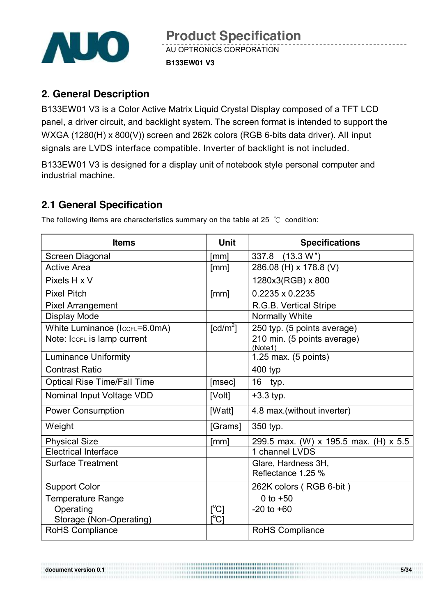

## **2. General Description**

B133EW01 V3 is a Color Active Matrix Liquid Crystal Display composed of a TFT LCD panel, a driver circuit, and backlight system. The screen format is intended to support the WXGA (1280(H) x 800(V)) screen and 262k colors (RGB 6-bits data driver). All input signals are LVDS interface compatible. Inverter of backlight is not included.

B133EW01 V3 is designed for a display unit of notebook style personal computer and industrial machine.

## **2.1 General Specification**

The following items are characteristics summary on the table at 25 ℃ condition:

| <b>Items</b>                       | Unit                          | <b>Specifications</b>                  |
|------------------------------------|-------------------------------|----------------------------------------|
| Screen Diagonal                    | [mm]                          | (13.3 W")<br>337.8                     |
| <b>Active Area</b>                 | [mm]                          | 286.08 (H) x 178.8 (V)                 |
| Pixels H x V                       |                               | 1280x3(RGB) x 800                      |
| <b>Pixel Pitch</b>                 | [mm]                          | 0.2235 x 0.2235                        |
| <b>Pixel Arrangement</b>           |                               | R.G.B. Vertical Stripe                 |
| Display Mode                       |                               | Normally White                         |
| White Luminance (IccrL=6.0mA)      | $\lceil cd/m^2 \rceil$        | 250 typ. (5 points average)            |
| Note: IccFL is lamp current        |                               | 210 min. (5 points average)<br>(Note1) |
| <b>Luminance Uniformity</b>        |                               | 1.25 max. $(5 \text{ points})$         |
| <b>Contrast Ratio</b>              |                               | 400 typ                                |
| <b>Optical Rise Time/Fall Time</b> | [msec]                        | 16<br>typ.                             |
| Nominal Input Voltage VDD          | [Volt]                        | $+3.3$ typ.                            |
| <b>Power Consumption</b>           | [Watt]                        | 4.8 max. (without inverter)            |
| Weight                             | [Grams]                       | 350 typ.                               |
| <b>Physical Size</b>               | [mm]                          | 299.5 max. (W) x 195.5 max. (H) x 5.5  |
| <b>Electrical Interface</b>        |                               | 1 channel LVDS                         |
| <b>Surface Treatment</b>           |                               | Glare, Hardness 3H,                    |
|                                    |                               | Reflectance 1.25 %                     |
| <b>Support Color</b>               |                               | 262K colors (RGB 6-bit)                |
| Temperature Range                  |                               | 0 to $+50$                             |
| Operating                          | $\lceil{^{\circ}C}\rceil$     | $-20$ to $+60$                         |
| Storage (Non-Operating)            | $\mathsf{I}^\circ\mathsf{C}1$ |                                        |
| RoHS Compliance                    |                               | RoHS Compliance                        |

,,,,,,,,,,,,,,,,,,,,,,,,,,,,,,,,,,,

**document version 0.1** 5/34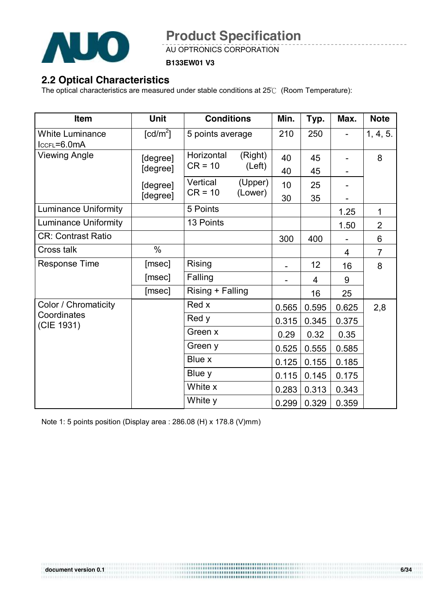

AU OPTRONICS CORPORATION

#### **B133EW01 V3**

## **2.2 Optical Characteristics**

The optical characteristics are measured under stable conditions at 25℃ (Room Temperature):

| Item                                      | <b>Unit</b>            | <b>Conditions</b> |         | Min.  | Typ.           | Max.  | <b>Note</b>    |
|-------------------------------------------|------------------------|-------------------|---------|-------|----------------|-------|----------------|
| <b>White Luminance</b><br>$lccFL = 6.0mA$ | $\lceil cd/m^2 \rceil$ | 5 points average  |         | 210   | 250            |       | 1, 4, 5.       |
| <b>Viewing Angle</b>                      | [degree]               | Horizontal        | (Right) | 40    | 45             |       | 8              |
|                                           | [degree]               | $CR = 10$         | (Left)  | 40    | 45             |       |                |
|                                           | [degree]               | Vertical          | (Upper) | 10    | 25             |       |                |
|                                           | [degree]               | $CR = 10$         | (Lower) | 30    | 35             |       |                |
| <b>Luminance Uniformity</b>               |                        | 5 Points          |         |       |                | 1.25  | $\mathbf{1}$   |
| <b>Luminance Uniformity</b>               |                        | 13 Points         |         |       |                | 1.50  | $\overline{2}$ |
| <b>CR: Contrast Ratio</b>                 |                        |                   |         | 300   | 400            |       | 6              |
| Cross talk                                | $\%$                   |                   |         |       |                | 4     | $\overline{7}$ |
| Response Time                             | [msec]                 | Rising            |         |       | 12             | 16    | 8              |
|                                           | [msec]                 | Falling           |         |       | $\overline{4}$ | 9     |                |
|                                           | [msec]                 | Rising + Falling  |         |       | 16             | 25    |                |
| Color / Chromaticity                      |                        | Red x             |         | 0.565 | 0.595          | 0.625 | 2,8            |
| Coordinates<br>(CIE 1931)                 |                        | Red y             |         | 0.315 | 0.345          | 0.375 |                |
|                                           |                        | Green x           |         | 0.29  | 0.32           | 0.35  |                |
|                                           |                        | Green y           |         | 0.525 | 0.555          | 0.585 |                |
|                                           |                        | Blue x            |         | 0.125 | 0.155          | 0.185 |                |
|                                           |                        | Blue y            |         | 0.115 | 0.145          | 0.175 |                |
|                                           |                        | White x           |         | 0.283 | 0.313          | 0.343 |                |
|                                           |                        | White y           |         | 0.299 | 0.329          | 0.359 |                |

Note 1: 5 points position (Display area : 286.08 (H) x 178.8 (V)mm)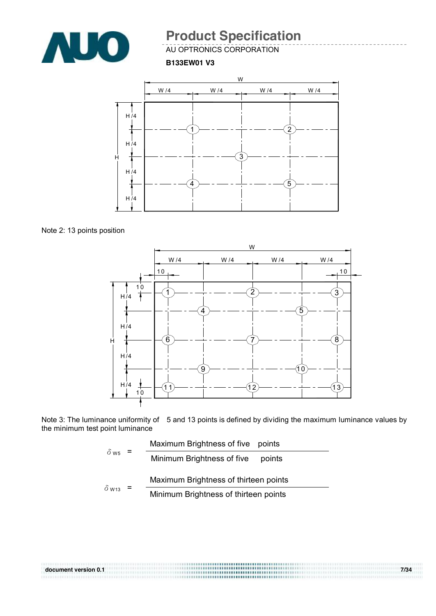

AU OPTRONICS CORPORATION

**B133EW01 V3**



Note 2: 13 points position



Note 3: The luminance uniformity of 5 and 13 points is defined by dividing the maximum luminance values by the minimum test point luminance

| $=$                     | Maximum Brightness of five points |                                       |
|-------------------------|-----------------------------------|---------------------------------------|
| $\delta$ w <sub>5</sub> |                                   | Minimum Brightness of five<br>points  |
|                         |                                   | Maximum Brightness of thirteen points |
| $\delta$ W13            |                                   | Minimum Brightness of thirteen points |

| document version 0.1 | 7/34 |
|----------------------|------|
|                      |      |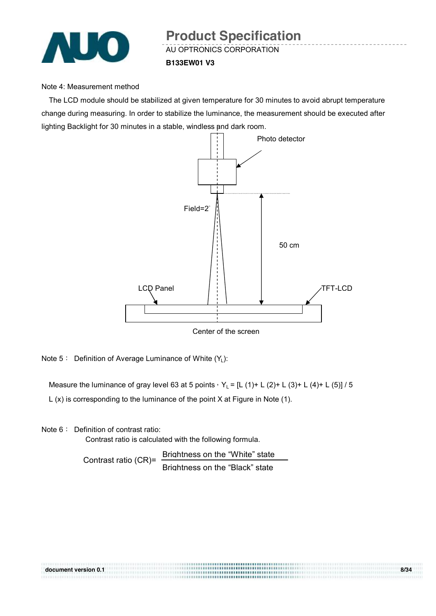

#### Note 4: Measurement method

The LCD module should be stabilized at given temperature for 30 minutes to avoid abrupt temperature change during measuring. In order to stabilize the luminance, the measurement should be executed after lighting Backlight for 30 minutes in a stable, windless and dark room.



Note 5: Definition of Average Luminance of White (Y<sub>L</sub>):

Measure the luminance of gray level 63 at 5 points,  $Y_L = [L (1) + L (2) + L (3) + L (4) + L (5)] / 5$ 

L (x) is corresponding to the luminance of the point X at Figure in Note (1).

Note 6: Definition of contrast ratio:

Contrast ratio is calculated with the following formula.

Contrast ratio (CR)= Brightness on the "White" state Brightness on the "Black" state

| document version 0.1 | <b></b> | 8/34 |
|----------------------|---------|------|
|                      |         |      |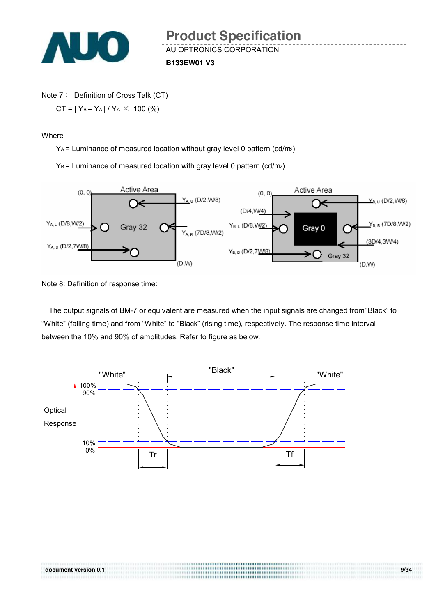

Note 7: Definition of Cross Talk (CT)  $CT = |Y_B - Y_A| / Y_A \times 100$  (%)

**Where** 

YA = Luminance of measured location without gray level 0 pattern (cd/m2)

 $Y_B$  = Luminance of measured location with gray level 0 pattern (cd/m2)



Note 8: Definition of response time:

The output signals of BM-7 or equivalent are measured when the input signals are changed from "Black" to "White" (falling time) and from "White" to "Black" (rising time), respectively. The response time interval between the 10% and 90% of amplitudes. Refer to figure as below.

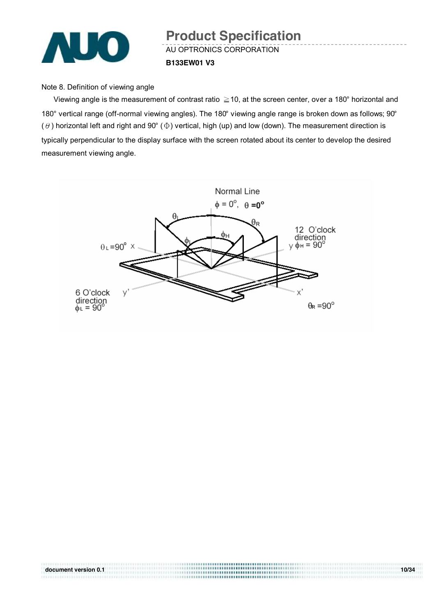

#### Note 8. Definition of viewing angle

Viewing angle is the measurement of contrast ratio ≧10, at the screen center, over a 180° horizontal and 180° vertical range (off-normal viewing angles). The 180° viewing angle range is broken down as follows; 90° ( $\theta$ ) horizontal left and right and 90° ( $\Phi$ ) vertical, high (up) and low (down). The measurement direction is typically perpendicular to the display surface with the screen rotated about its center to develop the desired measurement viewing angle.



| document version 0.1 | <b></b><br><b></b>                 | 10/34 |
|----------------------|------------------------------------|-------|
|                      | ,,,,,,,,,,,,,,,,,,,,,,,,,,,,,,,,,, |       |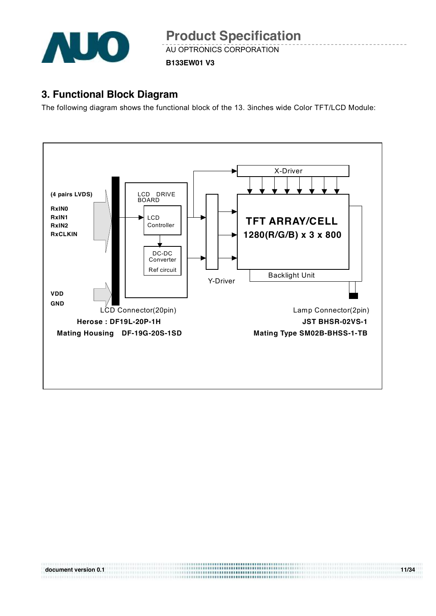

**B133EW01 V3**

## **3. Functional Block Diagram**

The following diagram shows the functional block of the 13. 3inches wide Color TFT/LCD Module:

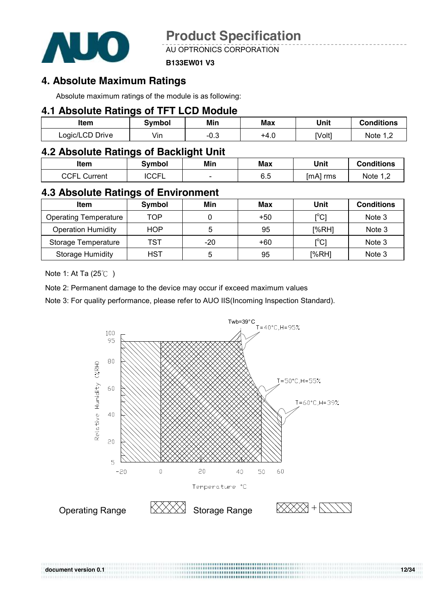

AU OPTRONICS CORPORATION

#### **B133EW01 V3**

### **4. Absolute Maximum Ratings**

Absolute maximum ratings of the module is as following:

### **4.1 Absolute Ratings of TFT LCD Module**

| Item            | Svmbol | Min       | Max  | Unit   | Conditions |
|-----------------|--------|-----------|------|--------|------------|
| Logic/LCD Drive | Vin    | ົ<br>−∪.ം | +4.0 | [Volt] | Note 1     |

### **4.2 Absolute Ratings of Backlight Unit**

| Item            | <b>Symbol</b> | Min                      | Max | Unit     | <b>Conditions</b>     |
|-----------------|---------------|--------------------------|-----|----------|-----------------------|
| CCFL<br>Current | <b>ICCFL</b>  | $\overline{\phantom{0}}$ | 6.5 | [mA] rms | Note 1, $\mathcal{C}$ |

#### **4.3 Absolute Ratings of Environment**

| <b>Item</b>                  | Symbol | Min | Max | Unit                                    | <b>Conditions</b> |
|------------------------------|--------|-----|-----|-----------------------------------------|-------------------|
| <b>Operating Temperature</b> | TOP    |     | +50 | $\mathsf{I}^\circ\mathsf{C} \mathsf{I}$ | Note 3            |
| <b>Operation Humidity</b>    | HOP    | 5   | 95  | [%RH]                                   | Note 3            |
| Storage Temperature          | TST    | -20 | +60 | [°C]                                    | Note 3            |
| <b>Storage Humidity</b>      | HST    | 5   | 95  | [%RH]                                   | Note 3            |

Note 1: At Ta (25℃ )

Note 2: Permanent damage to the device may occur if exceed maximum values

Note 3: For quality performance, please refer to AUO IIS(Incoming Inspection Standard).



**document version 0.1 12/34**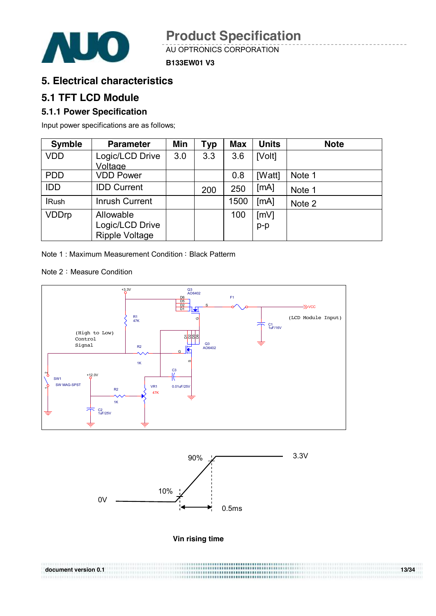

**B133EW01 V3**

## **5. Electrical characteristics**

### **5.1 TFT LCD Module**

#### **5.1.1 Power Specification**

Input power specifications are as follows;

| <b>Symble</b> | <b>Parameter</b>      | Min | Typ | <b>Max</b> | <b>Units</b> | <b>Note</b> |
|---------------|-----------------------|-----|-----|------------|--------------|-------------|
| <b>VDD</b>    | Logic/LCD Drive       | 3.0 | 3.3 | 3.6        | [Volt]       |             |
|               | Voltage               |     |     |            |              |             |
| <b>PDD</b>    | <b>VDD Power</b>      |     |     | 0.8        | [Watt]       | Note 1      |
| <b>IDD</b>    | <b>IDD Current</b>    |     | 200 | 250        | [mA]         | Note 1      |
| <b>IRush</b>  | <b>Inrush Current</b> |     |     | 1500       | [MA]         | Note 2      |
| <b>VDDrp</b>  | Allowable             |     |     | 100        | [mV]         |             |
|               | Logic/LCD Drive       |     |     |            | $p-p$        |             |
|               | <b>Ripple Voltage</b> |     |     |            |              |             |

Note 1: Maximum Measurement Condition: Black Patterm

Note 2: Measure Condition





**Vin rising time** 

| document version 0.1 | ,,,,,,,,,,,,,,,,,,,,,,,,,,,,,,,,,,,,, | 13/34 |
|----------------------|---------------------------------------|-------|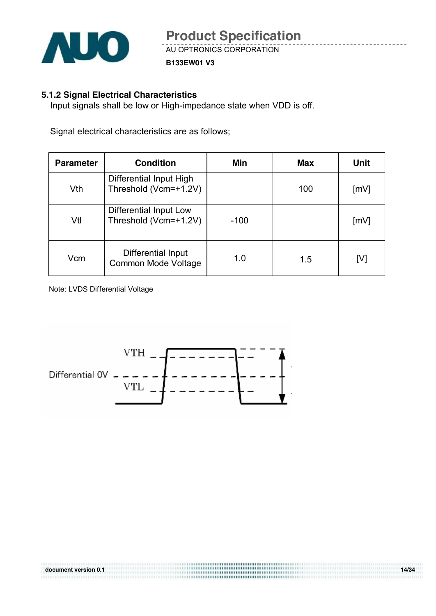

**B133EW01 V3**

#### **5.1.2 Signal Electrical Characteristics**

Input signals shall be low or High-impedance state when VDD is off.

Signal electrical characteristics are as follows;

| <b>Parameter</b> | <b>Condition</b>                                 | Min    | <b>Max</b> | Unit |
|------------------|--------------------------------------------------|--------|------------|------|
| Vth              | Differential Input High<br>Threshold (Vcm=+1.2V) |        | 100        | [mV] |
| Vtl              | Differential Input Low<br>Threshold (Vcm=+1.2V)  | $-100$ |            | [mV] |
| Vcm              | Differential Input<br>Common Mode Voltage        | 1.0    | 1.5        | [V]  |

**document version 0.1 14/34** 

Note: LVDS Differential Voltage

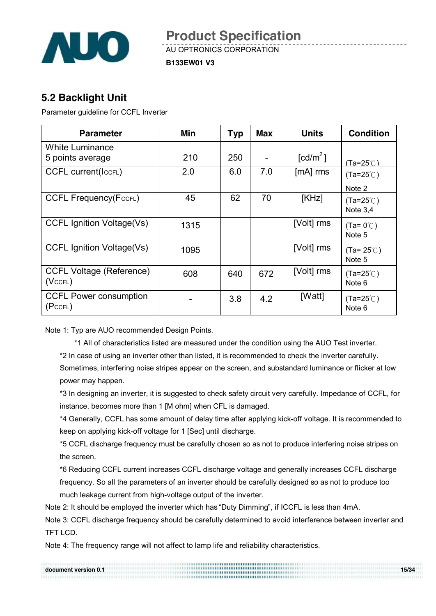

**B133EW01 V3**

## **5.2 Backlight Unit**

Parameter guideline for CCFL Inverter

| <b>Parameter</b>                                 | Min  | <b>Typ</b> | <b>Max</b> | <b>Units</b>           | <b>Condition</b>                 |
|--------------------------------------------------|------|------------|------------|------------------------|----------------------------------|
| <b>White Luminance</b><br>5 points average       | 210  | 250        |            | $\lceil cd/m^2 \rceil$ |                                  |
| <b>CCFL current(IccFL)</b>                       | 2.0  | 6.0        | 7.0        | [mA] rms               | (Ta=25℃)<br>$(Ta=25^{\circ}C)$   |
|                                                  |      |            |            |                        | Note 2                           |
| <b>CCFL Frequency (FccFL)</b>                    | 45   | 62         | 70         | [KHz]                  | $(Ta=25^{\circ}C)$<br>Note $3,4$ |
| <b>CCFL Ignition Voltage(Vs)</b>                 | 1315 |            |            | [Volt] rms             | $(Ta=0^{\circ}C)$<br>Note 5      |
| <b>CCFL Ignition Voltage(Vs)</b>                 | 1095 |            |            | [Volt] rms             | $(Ta=25^{\circ}C)$<br>Note 5     |
| <b>CCFL Voltage (Reference)</b><br>$(Vc$ CFL $)$ | 608  | 640        | 672        | [Volt] rms             | $(Ta=25^{\circ}C)$<br>Note 6     |
| <b>CCFL Power consumption</b><br>(PccFL)         |      | 3.8        | 4.2        | [Watt]                 | $(Ta=25^{\circ}C)$<br>Note 6     |

Note 1: Typ are AUO recommended Design Points.

\*1 All of characteristics listed are measured under the condition using the AUO Test inverter.

\*2 In case of using an inverter other than listed, it is recommended to check the inverter carefully.

Sometimes, interfering noise stripes appear on the screen, and substandard luminance or flicker at low power may happen.

\*3 In designing an inverter, it is suggested to check safety circuit very carefully. Impedance of CCFL, for instance, becomes more than 1 [M ohm] when CFL is damaged.

\*4 Generally, CCFL has some amount of delay time after applying kick-off voltage. It is recommended to keep on applying kick-off voltage for 1 [Sec] until discharge.

\*5 CCFL discharge frequency must be carefully chosen so as not to produce interfering noise stripes on the screen.

\*6 Reducing CCFL current increases CCFL discharge voltage and generally increases CCFL discharge frequency. So all the parameters of an inverter should be carefully designed so as not to produce too much leakage current from high-voltage output of the inverter.

Note 2: It should be employed the inverter which has "Duty Dimming", if ICCFL is less than 4mA.

Note 3: CCFL discharge frequency should be carefully determined to avoid interference between inverter and TFT LCD.

Note 4: The frequency range will not affect to lamp life and reliability characteristics.

| document version 0.1 | <br><b></b> | 15/34 |
|----------------------|-------------|-------|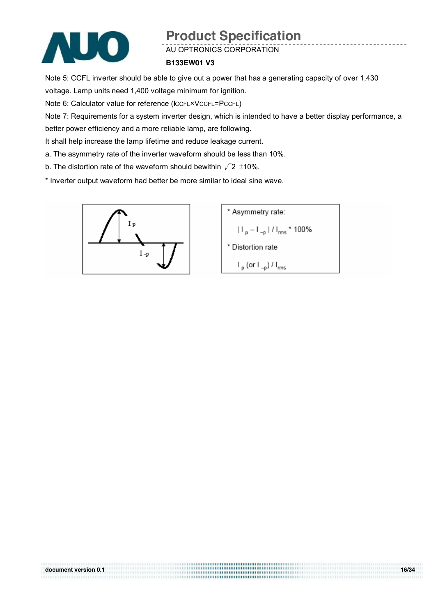

AU OPTRONICS CORPORATION

#### **B133EW01 V3**

Note 5: CCFL inverter should be able to give out a power that has a generating capacity of over 1,430 voltage. Lamp units need 1,400 voltage minimum for ignition.

Note 6: Calculator value for reference (ICCFL×VCCFL=PCCFL)

Note 7: Requirements for a system inverter design, which is intended to have a better display performance, a better power efficiency and a more reliable lamp, are following.

**document version 0.1 16/34 16/34** 

It shall help increase the lamp lifetime and reduce leakage current.

- a. The asymmetry rate of the inverter waveform should be less than 10%.
- b. The distortion rate of the waveform should bewithin  $\sqrt{2}$  ±10%.
- \* Inverter output waveform had better be more similar to ideal sine wave.



\n- \* Asymmetry rate:
\n- $$
|I_p - I_{-p}| / I_{rms} \cdot 100\%
$$
\n- \* Distortion rate
\n- $I_p$  (or  $I_{-p}$ ) /  $I_{rms}$
\n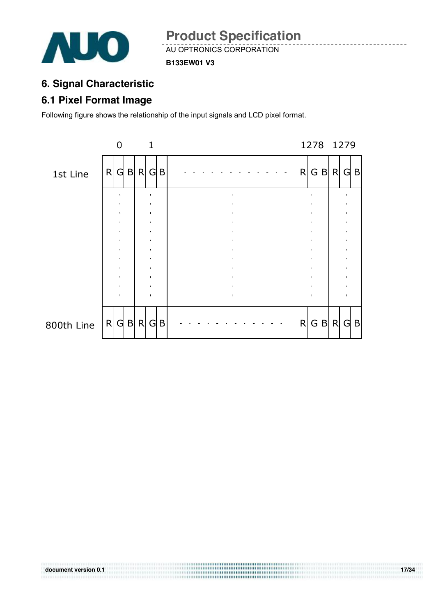

**B133EW01 V3**

## **6. Signal Characteristic**

## **6.1 Pixel Format Image**

Following figure shows the relationship of the input signals and LCD pixel format.

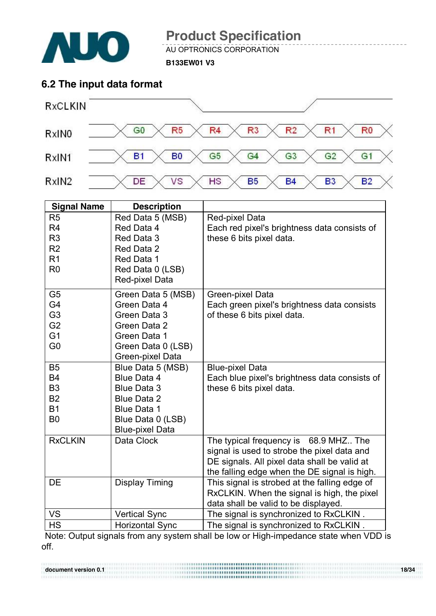

AU OPTRONICS CORPORATION

**B133EW01 V3**

## **6.2 The input data format**



| <b>Signal Name</b> | <b>Description</b>     |                                               |
|--------------------|------------------------|-----------------------------------------------|
| R <sub>5</sub>     | Red Data 5 (MSB)       | Red-pixel Data                                |
| R <sub>4</sub>     | Red Data 4             | Each red pixel's brightness data consists of  |
| R <sub>3</sub>     | Red Data 3             | these 6 bits pixel data.                      |
| R <sub>2</sub>     | Red Data 2             |                                               |
| R <sub>1</sub>     | Red Data 1             |                                               |
| R <sub>0</sub>     | Red Data 0 (LSB)       |                                               |
|                    | Red-pixel Data         |                                               |
| G <sub>5</sub>     | Green Data 5 (MSB)     | Green-pixel Data                              |
| G4                 | Green Data 4           | Each green pixel's brightness data consists   |
| G <sub>3</sub>     | Green Data 3           | of these 6 bits pixel data.                   |
| G <sub>2</sub>     | Green Data 2           |                                               |
| G <sub>1</sub>     | Green Data 1           |                                               |
| G <sub>0</sub>     | Green Data 0 (LSB)     |                                               |
|                    | Green-pixel Data       |                                               |
| <b>B5</b>          | Blue Data 5 (MSB)      | <b>Blue-pixel Data</b>                        |
| <b>B4</b>          | Blue Data 4            | Each blue pixel's brightness data consists of |
| B <sub>3</sub>     | <b>Blue Data 3</b>     | these 6 bits pixel data.                      |
| <b>B2</b>          | <b>Blue Data 2</b>     |                                               |
| <b>B1</b>          | <b>Blue Data 1</b>     |                                               |
| B <sub>0</sub>     | Blue Data 0 (LSB)      |                                               |
|                    | <b>Blue-pixel Data</b> |                                               |
| <b>RxCLKIN</b>     | Data Clock             | The typical frequency is 68.9 MHZ The         |
|                    |                        | signal is used to strobe the pixel data and   |
|                    |                        | DE signals. All pixel data shall be valid at  |
|                    |                        | the falling edge when the DE signal is high.  |
| <b>DE</b>          | <b>Display Timing</b>  | This signal is strobed at the falling edge of |
|                    |                        | RxCLKIN. When the signal is high, the pixel   |
|                    |                        | data shall be valid to be displayed.          |
| <b>VS</b>          | <b>Vertical Sync</b>   | The signal is synchronized to RxCLKIN.        |
| <b>HS</b>          | <b>Horizontal Sync</b> | The signal is synchronized to RxCLKIN.        |

Note: Output signals from any system shall be low or High-impedance state when VDD is off.

**document version 0.1 18/34 18/34**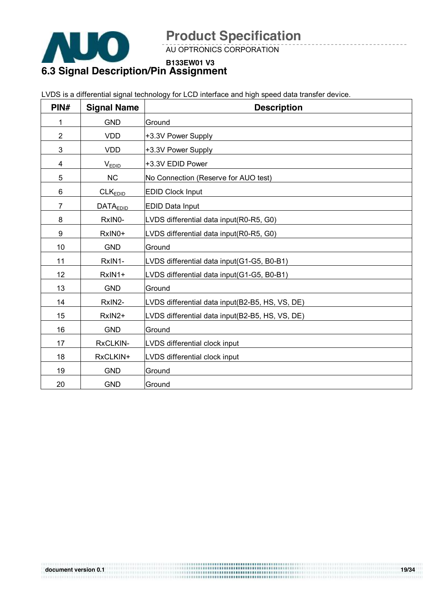

AU OPTRONICS CORPORATION

**B133EW01 V3**

## **6.3 Signal Description/Pin Assignment**

|                |                     | LVDS is a differential signal technology for LCD interface and high speed data transfer device. |
|----------------|---------------------|-------------------------------------------------------------------------------------------------|
| PIN#           | <b>Signal Name</b>  | <b>Description</b>                                                                              |
| 1              | <b>GND</b>          | Ground                                                                                          |
| $\overline{2}$ | <b>VDD</b>          | +3.3V Power Supply                                                                              |
| 3              | <b>VDD</b>          | +3.3V Power Supply                                                                              |
| 4              | <b>VEDID</b>        | +3.3V EDID Power                                                                                |
| 5              | <b>NC</b>           | No Connection (Reserve for AUO test)                                                            |
| 6              | CLK <sub>EDID</sub> | <b>EDID Clock Input</b>                                                                         |
| 7              | <b>DATAEDID</b>     | <b>EDID Data Input</b>                                                                          |
| 8              | RxIN0-              | LVDS differential data input(R0-R5, G0)                                                         |
| 9              | RxIN0+              | LVDS differential data input(R0-R5, G0)                                                         |
| 10             | <b>GND</b>          | Ground                                                                                          |
| 11             | RxIN1-              | LVDS differential data input(G1-G5, B0-B1)                                                      |
| 12             | RxIN1+              | LVDS differential data input(G1-G5, B0-B1)                                                      |
| 13             | <b>GND</b>          | Ground                                                                                          |
| 14             | RxIN2-              | LVDS differential data input(B2-B5, HS, VS, DE)                                                 |
| 15             | RxIN2+              | LVDS differential data input (B2-B5, HS, VS, DE)                                                |
| 16             | <b>GND</b>          | Ground                                                                                          |
| 17             | RxCLKIN-            | LVDS differential clock input                                                                   |
| 18             | RxCLKIN+            | LVDS differential clock input                                                                   |
| 19             | <b>GND</b>          | Ground                                                                                          |
| 20             | <b>GND</b>          | Ground                                                                                          |

LVDS is a differential signal technology for LCD interface and high speed data transfer device.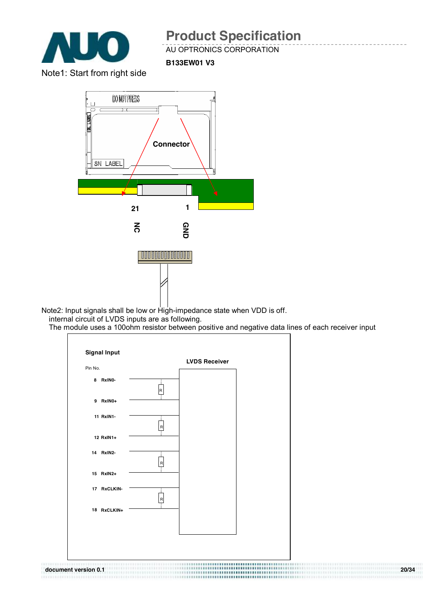

#### AU OPTRONICS CORPORATION

**B133EW01 V3**

Note1: Start from right side



Note2: Input signals shall be low or High-impedance state when VDD is off. internal circuit of LVDS inputs are as following.

The module uses a 100ohm resistor between positive and negative data lines of each receiver input

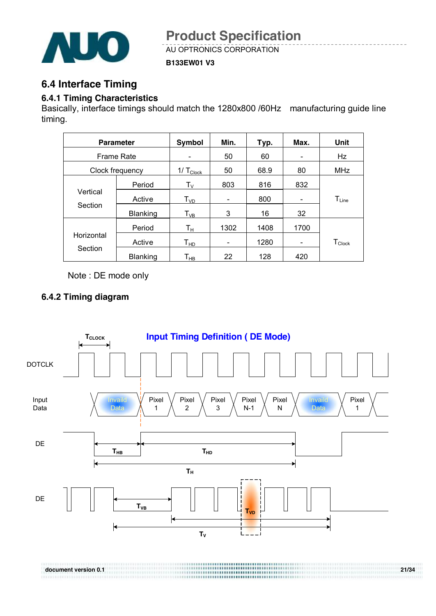

**B133EW01 V3**

## **6.4 Interface Timing**

#### **6.4.1 Timing Characteristics**

Basically, interface timings should match the 1280x800 /60Hz manufacturing guide line timing.

| <b>Parameter</b>  |                 | <b>Symbol</b>                 | Min.                                                                                                                                                                                          | Typ. | Max.                         | <b>Unit</b>          |
|-------------------|-----------------|-------------------------------|-----------------------------------------------------------------------------------------------------------------------------------------------------------------------------------------------|------|------------------------------|----------------------|
| <b>Frame Rate</b> |                 | $\overline{\phantom{0}}$      | 50                                                                                                                                                                                            | 60   | $\qquad \qquad \blacksquare$ | Hz                   |
|                   | Clock frequency | $1/\mathsf{T}_{\text{Clock}}$ | 50                                                                                                                                                                                            | 68.9 | 80                           | <b>MHz</b>           |
|                   | Period          | $\mathsf{T}_\mathsf{V}$       | 803                                                                                                                                                                                           | 816  | 832                          |                      |
| Vertical          | Active          | $T_{VD}$                      |                                                                                                                                                                                               | 800  |                              | $T_{Line}$           |
| Section           | Blanking        | $T_{VB}$                      | 3                                                                                                                                                                                             | 16   | 32                           |                      |
|                   | Period          | $T_{\rm H}$                   | 1302                                                                                                                                                                                          | 1408 | 1700                         |                      |
| Horizontal        | Active          | $\mathsf{T}_{\mathsf{HD}}$    | $\hskip1.6pt\hskip1.6pt\hskip1.6pt\hskip1.6pt\hskip1.6pt\hskip1.6pt\hskip1.6pt\hskip1.6pt\hskip1.6pt\hskip1.6pt\hskip1.6pt\hskip1.6pt\hskip1.6pt\hskip1.6pt\hskip1.6pt\hskip1.6pt\hskip1.6pt$ | 1280 |                              | $T_{\mathsf{Clock}}$ |
| Section           | <b>Blanking</b> | Т <sub>нв</sub>               | 22                                                                                                                                                                                            | 128  | 420                          |                      |

Note : DE mode only

### **6.4.2 Timing diagram**

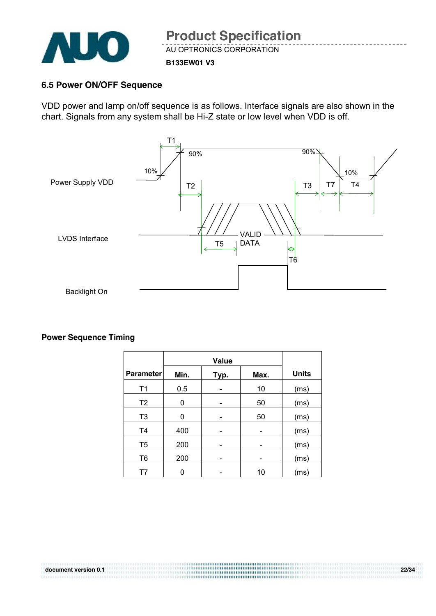

#### **B133EW01 V3**

#### **6.5 Power ON/OFF Sequence**

VDD power and lamp on/off sequence is as follows. Interface signals are also shown in the chart. Signals from any system shall be Hi-Z state or low level when VDD is off.



#### **Power Sequence Timing**

| <b>Parameter</b> | Min. | Typ. | Max. | <b>Units</b> |
|------------------|------|------|------|--------------|
| T <sub>1</sub>   | 0.5  |      | 10   | (ms)         |
| T <sub>2</sub>   | 0    |      | 50   | (ms)         |
| T <sub>3</sub>   | 0    |      | 50   | (ms)         |
| T <sub>4</sub>   | 400  |      |      | (ms)         |
| T <sub>5</sub>   | 200  |      |      | (ms)         |
| T <sub>6</sub>   | 200  | -    | -    | (ms)         |
| T7               | ი    |      | 10   | (ms)         |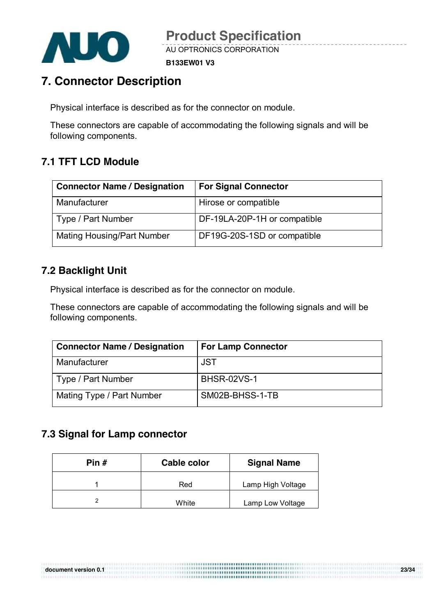

**B133EW01 V3**

## **7. Connector Description**

Physical interface is described as for the connector on module.

These connectors are capable of accommodating the following signals and will be following components.

## **7.1 TFT LCD Module**

| <b>Connector Name / Designation</b> | <b>For Signal Connector</b>  |
|-------------------------------------|------------------------------|
| Manufacturer                        | Hirose or compatible         |
| Type / Part Number                  | DF-19LA-20P-1H or compatible |
| <b>Mating Housing/Part Number</b>   | DF19G-20S-1SD or compatible  |

## **7.2 Backlight Unit**

Physical interface is described as for the connector on module.

These connectors are capable of accommodating the following signals and will be following components.

| <b>Connector Name / Designation</b> | <b>For Lamp Connector</b> |
|-------------------------------------|---------------------------|
| Manufacturer                        | <b>JST</b>                |
| Type / Part Number                  | <b>BHSR-02VS-1</b>        |
| Mating Type / Part Number           | SM02B-BHSS-1-TB           |

## **7.3 Signal for Lamp connector**

| Pin # | Cable color | <b>Signal Name</b> |  |
|-------|-------------|--------------------|--|
|       | Red         | Lamp High Voltage  |  |
|       | White       | Lamp Low Voltage   |  |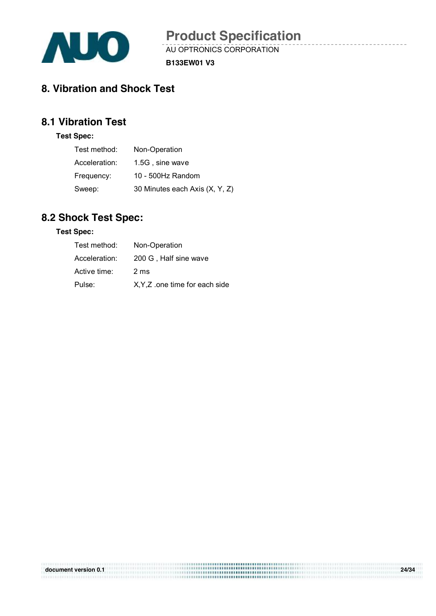

**B133EW01 V3**

## **8. Vibration and Shock Test**

## **8.1 Vibration Test**

#### **Test Spec:**

| Test method:  | Non-Operation                  |
|---------------|--------------------------------|
| Acceleration: | 1.5G, sine wave                |
| Frequency:    | 10 - 500Hz Random              |
| Sweep:        | 30 Minutes each Axis (X, Y, Z) |

## **8.2 Shock Test Spec:**

#### **Test Spec:**

| Test method:  | Non-Operation                  |
|---------------|--------------------------------|
| Acceleration: | 200 G, Half sine wave          |
| Active time:  | 2 ms                           |
| Pulse:        | X, Y, Z one time for each side |

|                      | \%;;;;;@@############################ |       |
|----------------------|---------------------------------------|-------|
| document version 0.1 |                                       | 24/34 |
|                      |                                       |       |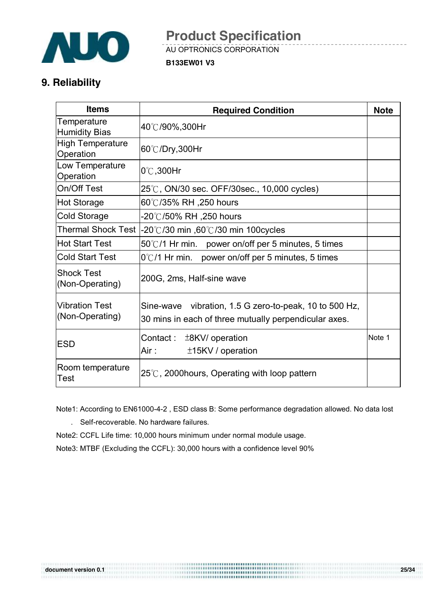

**B133EW01 V3**

## **9. Reliability**

| <b>Items</b>                             | <b>Required Condition</b>                                                                                       | <b>Note</b> |
|------------------------------------------|-----------------------------------------------------------------------------------------------------------------|-------------|
| Temperature<br><b>Humidity Bias</b>      | 40℃/90%,300Hr                                                                                                   |             |
| <b>High Temperature</b><br>Operation     | 60℃/Dry,300Hr                                                                                                   |             |
| Low Temperature<br>Operation             | $0^{\circ}$ C, 300Hr                                                                                            |             |
| On/Off Test                              | 25℃, ON/30 sec. OFF/30sec., 10,000 cycles)                                                                      |             |
| Hot Storage                              | 60℃/35% RH ,250 hours                                                                                           |             |
| <b>Cold Storage</b>                      | -20℃/50% RH ,250 hours                                                                                          |             |
|                                          | Thermal Shock Test $\vert$ -20°C/30 min ,60°C/30 min 100cycles                                                  |             |
| Hot Start Test                           | $50^{\circ}$ C/1 Hr min. power on/off per 5 minutes, 5 times                                                    |             |
| <b>Cold Start Test</b>                   | $0^{\circ}$ C/1 Hr min. power on/off per 5 minutes, 5 times                                                     |             |
| <b>Shock Test</b><br>(Non-Operating)     | 200G, 2ms, Half-sine wave                                                                                       |             |
| <b>Vibration Test</b><br>(Non-Operating) | Sine-wave vibration, 1.5 G zero-to-peak, 10 to 500 Hz,<br>30 mins in each of three mutually perpendicular axes. |             |
| <b>ESD</b>                               | Contact :<br>±8KV/ operation<br>Air :<br>±15KV / operation                                                      | Note 1      |
| Room temperature<br>Test                 | $25^{\circ}$ C, 2000 hours, Operating with loop pattern                                                         |             |

 Note1: According to EN61000-4-2 , ESD class B: Some performance degradation allowed. No data lost . Self-recoverable. No hardware failures.

Note2: CCFL Life time: 10,000 hours minimum under normal module usage.

Note3: MTBF (Excluding the CCFL): 30,000 hours with a confidence level 90%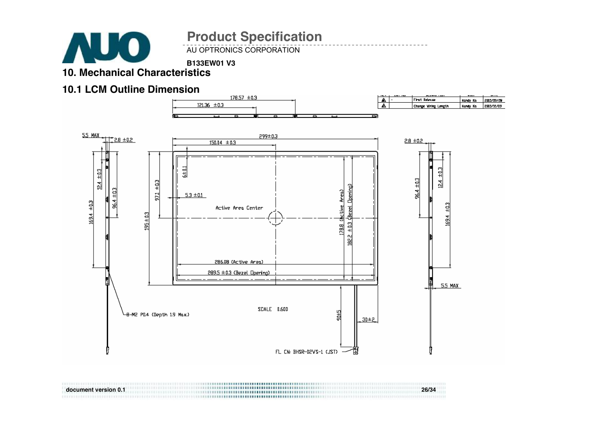

**B133EW01 V3**

**10. Mechanical Characteristics** 

### **10.1 LCM Outline Dimension**



**document version 0.1 26/34**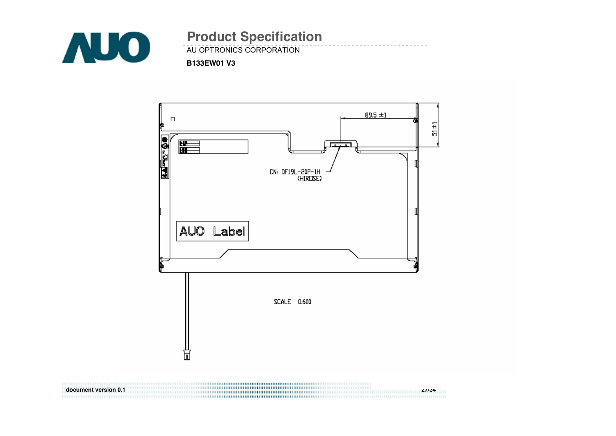



**document version 0.1 27/34**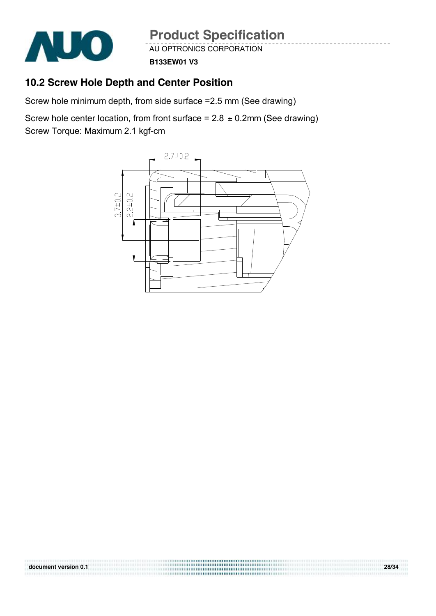

AU OPTRONICS CORPORATION

**B133EW01 V3**

## **10.2 Screw Hole Depth and Center Position**

Screw hole minimum depth, from side surface =2.5 mm (See drawing)

Screw hole center location, from front surface =  $2.8 \pm 0.2$ mm (See drawing) Screw Torque: Maximum 2.1 kgf-cm

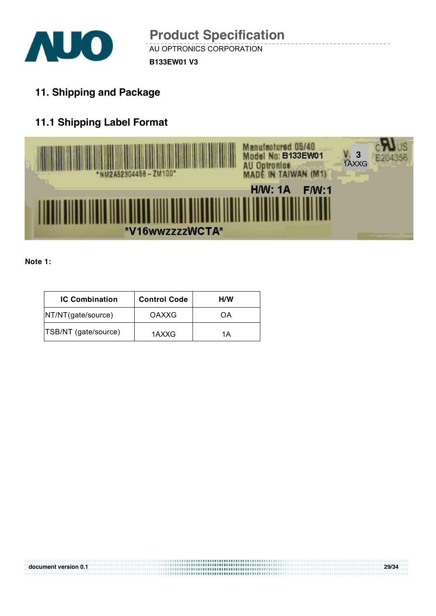

**11. Shipping and Package** 

## **11.1 Shipping Label Format**



#### **Note 1:**

| <b>IC Combination</b> | <b>Control Code</b> | H/W |
|-----------------------|---------------------|-----|
| NT/NT(gate/source)    | OAXXG               | OΑ  |
| TSB/NT (gate/source)  | 1AXXG               | 1Α  |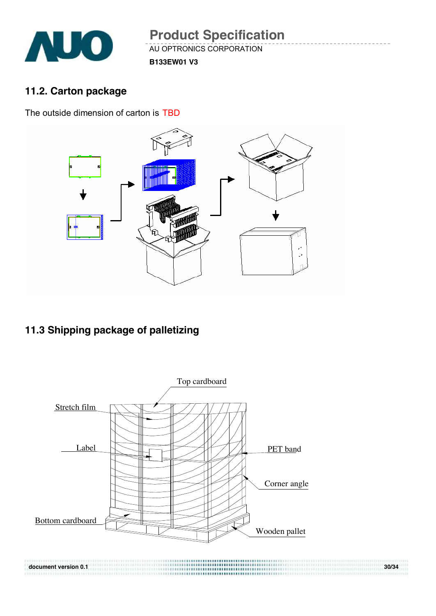

## **11.2. Carton package**

The outside dimension of carton is TBD



## **11.3 Shipping package of palletizing**

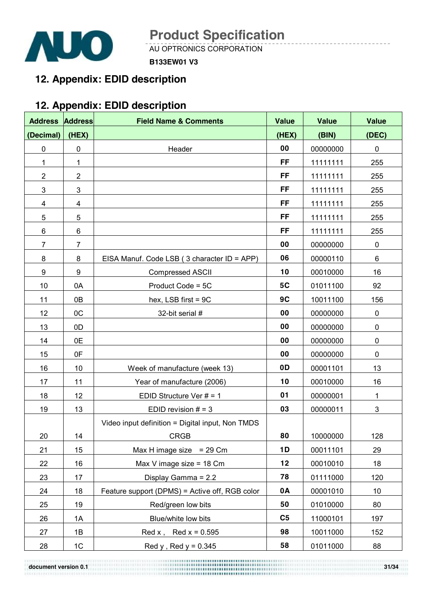

**B133EW01 V3**

## **12. Appendix: EDID description**

## **12. Appendix: EDID description**

| <b>Address</b>  | <b>Address</b>  | <b>Field Name &amp; Comments</b>                 | <b>Value</b>   | <b>Value</b> | <b>Value</b> |
|-----------------|-----------------|--------------------------------------------------|----------------|--------------|--------------|
| (Decimal)       | (HEX)           |                                                  | (HEX)          | (BIN)        | (DEC)        |
| 0               | 0               | Header                                           | 00             | 00000000     | 0            |
| 1               | 1               |                                                  | <b>FF</b>      | 11111111     | 255          |
| $\overline{c}$  | $\overline{2}$  |                                                  | <b>FF</b>      | 11111111     | 255          |
| 3               | 3               |                                                  | <b>FF</b>      | 11111111     | 255          |
| 4               | 4               |                                                  | <b>FF</b>      | 11111111     | 255          |
| 5               | 5               |                                                  | <b>FF</b>      | 11111111     | 255          |
| 6               | $6\phantom{1}6$ |                                                  | <b>FF</b>      | 11111111     | 255          |
| $\overline{7}$  | $\overline{7}$  |                                                  | 00             | 00000000     | 0            |
| 8               | 8               | EISA Manuf. Code LSB (3 character ID = APP)      | 06             | 00000110     | 6            |
| 9               | 9               | <b>Compressed ASCII</b>                          | 10             | 00010000     | 16           |
| 10              | 0A              | Product Code = 5C                                | 5C             | 01011100     | 92           |
| 11              | 0B              | hex, LSB first = 9C                              | 9C             | 10011100     | 156          |
| 12 <sub>2</sub> | OC              | 32-bit serial #                                  | 00             | 00000000     | $\pmb{0}$    |
| 13              | 0D              |                                                  | 00             | 00000000     | $\mathbf 0$  |
| 14              | 0E              |                                                  | 00             | 00000000     | $\pmb{0}$    |
| 15              | 0F              |                                                  | 00             | 00000000     | 0            |
| 16              | 10              | Week of manufacture (week 13)                    | 0D             | 00001101     | 13           |
| 17              | 11              | Year of manufacture (2006)                       | 10             | 00010000     | 16           |
| 18              | 12              | EDID Structure Ver $# = 1$                       | 01             | 00000001     | 1            |
| 19              | 13              | EDID revision $# = 3$                            | 03             | 00000011     | 3            |
|                 |                 | Video input definition = Digital input, Non TMDS |                |              |              |
| 20              | 14              | <b>CRGB</b>                                      | 80             | 10000000     | 128          |
| 21              | 15              | Max H image size $= 29$ Cm                       | 1D             | 00011101     | 29           |
| 22              | 16              | Max V image size = $18$ Cm                       | 12             | 00010010     | 18           |
| 23              | 17              | Display Gamma = 2.2                              | 78             | 01111000     | 120          |
| 24              | 18              | Feature support (DPMS) = Active off, RGB color   | 0A             | 00001010     | 10           |
| 25              | 19              | Red/green low bits                               | 50             | 01010000     | 80           |
| 26              | 1A              | Blue/white low bits                              | C <sub>5</sub> | 11000101     | 197          |
| 27              | 1B              | Red x, Red $x = 0.595$                           | 98             | 10011000     | 152          |
| 28              | 1C              | Red $y$ , Red $y = 0.345$                        | 58             | 01011000     | 88           |

**document version 0.1 31/34**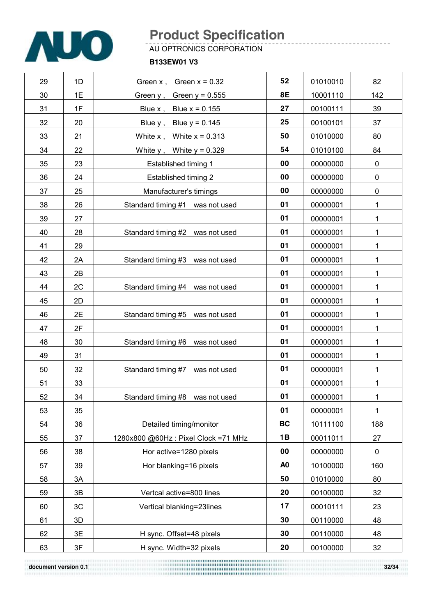

AU OPTRONICS CORPORATION

#### **B133EW01 V3**

| 29 | 1D | Green $x$ , Green $x = 0.32$        | 52             | 01010010 | 82          |
|----|----|-------------------------------------|----------------|----------|-------------|
| 30 | 1E | Green $y$ , Green $y = 0.555$       | 8E             | 10001110 | 142         |
| 31 | 1F | Blue $x$ , Blue $x = 0.155$         | 27             | 00100111 | 39          |
| 32 | 20 | Blue $y$ , Blue $y = 0.145$         | 25             | 00100101 | 37          |
| 33 | 21 | White $x$ , White $x = 0.313$       | 50             | 01010000 | 80          |
| 34 | 22 | White $y$ , White $y = 0.329$       | 54             | 01010100 | 84          |
| 35 | 23 | Established timing 1                | 00             | 00000000 | $\pmb{0}$   |
| 36 | 24 | Established timing 2                | 00             | 00000000 | $\pmb{0}$   |
| 37 | 25 | Manufacturer's timings              | 00             | 00000000 | $\pmb{0}$   |
| 38 | 26 | Standard timing #1 was not used     | 01             | 00000001 | 1           |
| 39 | 27 |                                     | 01             | 00000001 | 1           |
| 40 | 28 | Standard timing #2 was not used     | 01             | 00000001 | 1           |
| 41 | 29 |                                     | 01             | 00000001 | 1           |
| 42 | 2A | Standard timing #3 was not used     | 01             | 00000001 | 1           |
| 43 | 2B |                                     | 01             | 00000001 | 1           |
| 44 | 2C | Standard timing #4 was not used     | 01             | 00000001 | 1           |
| 45 | 2D |                                     | 01             | 00000001 | 1           |
| 46 | 2E | Standard timing #5 was not used     | 01             | 00000001 | 1           |
| 47 | 2F |                                     | 01             | 00000001 | 1           |
| 48 | 30 | Standard timing #6 was not used     | 01             | 00000001 | 1           |
| 49 | 31 |                                     | 01             | 00000001 | 1           |
| 50 | 32 | Standard timing #7 was not used     | 01             | 00000001 | 1           |
| 51 | 33 |                                     | 01             | 00000001 | 1           |
| 52 | 34 | Standard timing #8 was not used     | 01             | 00000001 | $\mathbf 1$ |
| 53 | 35 |                                     | 01             | 00000001 | $\mathbf 1$ |
| 54 | 36 | Detailed timing/monitor             | <b>BC</b>      | 10111100 | 188         |
| 55 | 37 | 1280x800 @60Hz: Pixel Clock =71 MHz | 1B             | 00011011 | 27          |
| 56 | 38 | Hor active=1280 pixels              | 00             | 00000000 | 0           |
| 57 | 39 | Hor blanking=16 pixels              | A <sub>0</sub> | 10100000 | 160         |
| 58 | 3A |                                     | 50             | 01010000 | 80          |
| 59 | 3B | Vertcal active=800 lines            | 20             | 00100000 | 32          |
| 60 | 3C | Vertical blanking=23lines           | 17             | 00010111 | 23          |
| 61 | 3D |                                     | 30             | 00110000 | 48          |
| 62 | 3E | H sync. Offset=48 pixels            | 30             | 00110000 | 48          |
| 63 | 3F | H sync. Width=32 pixels             | 20             | 00100000 | 32          |

**document version 0.1 32/34 32/34**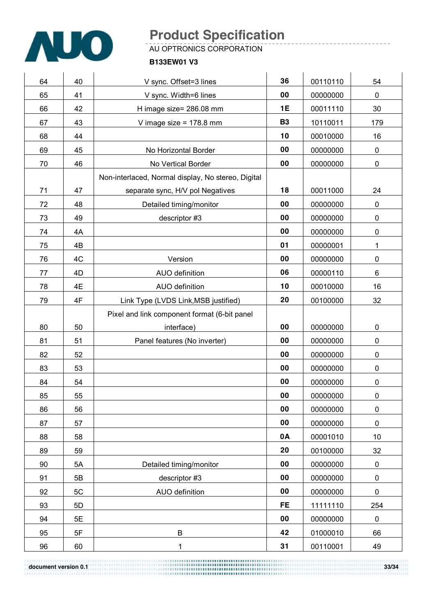

AU OPTRONICS CORPORATION

#### **B133EW01 V3**

| 64 | 40 | V sync. Offset=3 lines                             | 36        | 00110110 | 54          |
|----|----|----------------------------------------------------|-----------|----------|-------------|
| 65 | 41 | V sync. Width=6 lines                              | 00        | 00000000 | $\mathbf 0$ |
| 66 | 42 | H image size= 286.08 mm                            | <b>1E</b> | 00011110 | 30          |
| 67 | 43 | V image size = $178.8$ mm                          | <b>B3</b> | 10110011 | 179         |
| 68 | 44 |                                                    | 10        | 00010000 | 16          |
| 69 | 45 | No Horizontal Border                               | 00        | 00000000 | $\mathbf 0$ |
| 70 | 46 | No Vertical Border                                 | 00        | 00000000 | $\pmb{0}$   |
|    |    | Non-interlaced, Normal display, No stereo, Digital |           |          |             |
| 71 | 47 | separate sync, H/V pol Negatives                   | 18        | 00011000 | 24          |
| 72 | 48 | Detailed timing/monitor                            | 00        | 00000000 | $\mathbf 0$ |
| 73 | 49 | descriptor #3                                      | 00        | 00000000 | $\pmb{0}$   |
| 74 | 4A |                                                    | 00        | 00000000 | $\pmb{0}$   |
| 75 | 4B |                                                    | 01        | 00000001 | 1           |
| 76 | 4C | Version                                            | 00        | 00000000 | $\pmb{0}$   |
| 77 | 4D | AUO definition                                     | 06        | 00000110 | 6           |
| 78 | 4E | AUO definition                                     | 10        | 00010000 | 16          |
| 79 | 4F | Link Type (LVDS Link, MSB justified)               | 20        | 00100000 | 32          |
|    |    | Pixel and link component format (6-bit panel       |           |          |             |
| 80 | 50 | interface)                                         | 00        | 00000000 | $\pmb{0}$   |
| 81 | 51 | Panel features (No inverter)                       | 00        | 00000000 | $\mathbf 0$ |
| 82 | 52 |                                                    | 00        | 00000000 | $\pmb{0}$   |
| 83 | 53 |                                                    | 00        | 00000000 | $\pmb{0}$   |
| 84 | 54 |                                                    | 00        | 00000000 | 0           |
| 85 | 55 |                                                    | 00        | 00000000 | 0           |
| 86 | 56 |                                                    | 00        | 00000000 | 0           |
| 87 | 57 |                                                    | 00        | 00000000 | $\mathbf 0$ |
| 88 | 58 |                                                    | 0A        | 00001010 | 10          |
| 89 | 59 |                                                    | 20        | 00100000 | 32          |
| 90 | 5A | Detailed timing/monitor                            | 00        | 00000000 | 0           |
| 91 | 5B | descriptor #3                                      | 00        | 00000000 | $\pmb{0}$   |
| 92 | 5C | AUO definition                                     | 00        | 00000000 | 0           |
| 93 | 5D |                                                    | <b>FE</b> | 11111110 | 254         |
| 94 | 5E |                                                    | 00        | 00000000 | 0           |
| 95 | 5F | B                                                  | 42        | 01000010 | 66          |
| 96 | 60 | 1                                                  | 31        | 00110001 | 49          |

**document version 0.1 33/34 33/34**